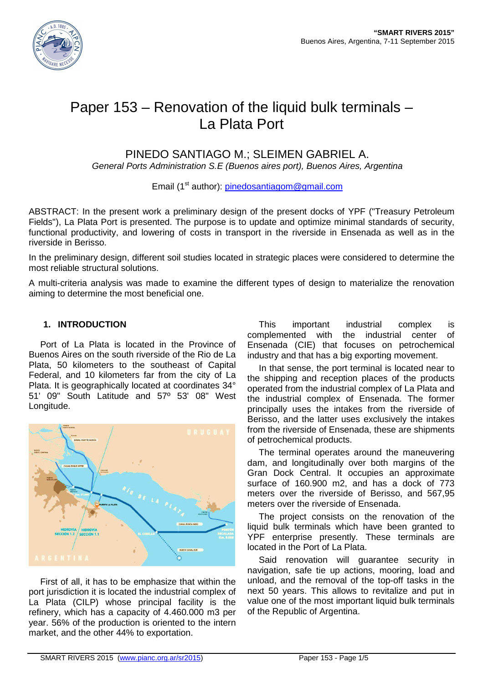

# Paper 153 – Renovation of the liquid bulk terminals – La Plata Port

## PINEDO SANTIAGO M.; SLEIMEN GABRIEL A.

General Ports Administration S.E (Buenos aires port), Buenos Aires, Argentina

Email (1<sup>st</sup> author): pinedosantiagom@gmail.com

ABSTRACT: In the present work a preliminary design of the present docks of YPF ("Treasury Petroleum Fields"), La Plata Port is presented. The purpose is to update and optimize minimal standards of security, functional productivity, and lowering of costs in transport in the riverside in Ensenada as well as in the riverside in Berisso.

In the preliminary design, different soil studies located in strategic places were considered to determine the most reliable structural solutions.

A multi-criteria analysis was made to examine the different types of design to materialize the renovation aiming to determine the most beneficial one.

## **1. INTRODUCTION**

Port of La Plata is located in the Province of Buenos Aires on the south riverside of the Rio de La Plata, 50 kilometers to the southeast of Capital Federal, and 10 kilometers far from the city of La Plata. It is geographically located at coordinates 34° 51' 09" South Latitude and 57º 53' 08" West Longitude.



First of all, it has to be emphasize that within the port jurisdiction it is located the industrial complex of La Plata (CILP) whose principal facility is the refinery, which has a capacity of 4.460.000 m3 per year. 56% of the production is oriented to the intern market, and the other 44% to exportation.

This important industrial complex is complemented with the industrial center of Ensenada (CIE) that focuses on petrochemical industry and that has a big exporting movement.

In that sense, the port terminal is located near to the shipping and reception places of the products operated from the industrial complex of La Plata and the industrial complex of Ensenada. The former principally uses the intakes from the riverside of Berisso, and the latter uses exclusively the intakes from the riverside of Ensenada, these are shipments of petrochemical products.

The terminal operates around the maneuvering dam, and longitudinally over both margins of the Gran Dock Central. It occupies an approximate surface of 160.900 m2, and has a dock of 773 meters over the riverside of Berisso, and 567,95 meters over the riverside of Ensenada.

The project consists on the renovation of the liquid bulk terminals which have been granted to YPF enterprise presently. These terminals are located in the Port of La Plata.

Said renovation will guarantee security in navigation, safe tie up actions, mooring, load and unload, and the removal of the top-off tasks in the next 50 years. This allows to revitalize and put in value one of the most important liquid bulk terminals of the Republic of Argentina.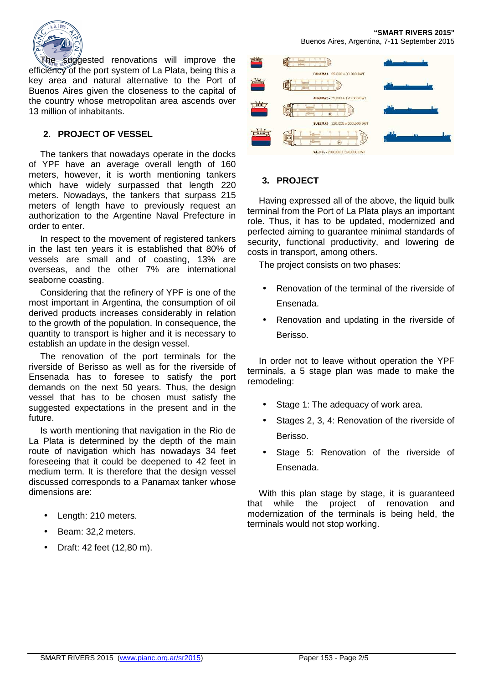

The suggested renovations will improve the efficiency of the port system of La Plata, being this a key area and natural alternative to the Port of Buenos Aires given the closeness to the capital of the country whose metropolitan area ascends over 13 million of inhabitants.

## **2. PROJECT OF VESSEL**

The tankers that nowadays operate in the docks of YPF have an average overall length of 160 meters, however, it is worth mentioning tankers which have widely surpassed that length 220 meters. Nowadays, the tankers that surpass 215 meters of length have to previously request an authorization to the Argentine Naval Prefecture in order to enter.

In respect to the movement of registered tankers in the last ten years it is established that 80% of vessels are small and of coasting, 13% are overseas, and the other 7% are international seaborne coasting.

Considering that the refinery of YPF is one of the most important in Argentina, the consumption of oil derived products increases considerably in relation to the growth of the population. In consequence, the quantity to transport is higher and it is necessary to establish an update in the design vessel.

The renovation of the port terminals for the riverside of Berisso as well as for the riverside of Ensenada has to foresee to satisfy the port demands on the next 50 years. Thus, the design vessel that has to be chosen must satisfy the suggested expectations in the present and in the future.

Is worth mentioning that navigation in the Rio de La Plata is determined by the depth of the main route of navigation which has nowadays 34 feet foreseeing that it could be deepened to 42 feet in medium term. It is therefore that the design vessel discussed corresponds to a Panamax tanker whose dimensions are:

- Length: 210 meters.
- Beam: 32,2 meters.
- Draft: 42 feet (12,80 m).



## **3. PROJECT**

Having expressed all of the above, the liquid bulk terminal from the Port of La Plata plays an important role. Thus, it has to be updated, modernized and perfected aiming to guarantee minimal standards of security, functional productivity, and lowering de costs in transport, among others.

The project consists on two phases:

- Renovation of the terminal of the riverside of Ensenada.
- Renovation and updating in the riverside of Berisso.

In order not to leave without operation the YPF terminals, a 5 stage plan was made to make the remodeling:

- Stage 1: The adequacy of work area.
- Stages 2, 3, 4: Renovation of the riverside of Berisso.
- Stage 5: Renovation of the riverside of Ensenada.

With this plan stage by stage, it is guaranteed that while the project of renovation and modernization of the terminals is being held, the terminals would not stop working.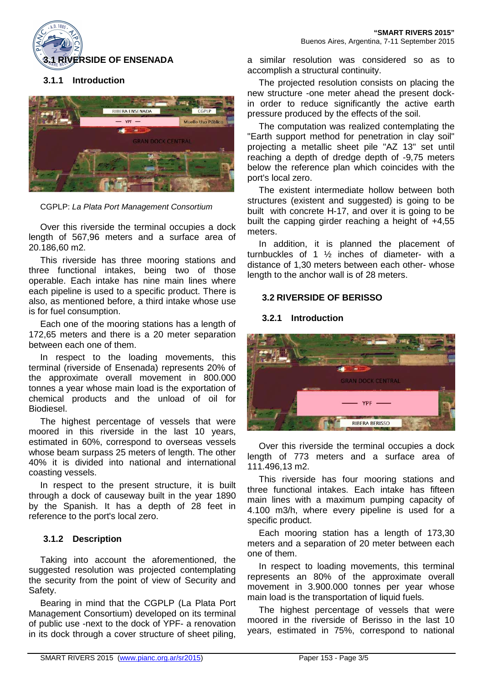

## **3.1.1 Introduction**



CGPLP: La Plata Port Management Consortium

Over this riverside the terminal occupies a dock length of 567,96 meters and a surface area of 20.186,60 m2.

This riverside has three mooring stations and three functional intakes, being two of those operable. Each intake has nine main lines where each pipeline is used to a specific product. There is also, as mentioned before, a third intake whose use is for fuel consumption.

Each one of the mooring stations has a length of 172,65 meters and there is a 20 meter separation between each one of them.

In respect to the loading movements, this terminal (riverside of Ensenada) represents 20% of the approximate overall movement in 800.000 tonnes a year whose main load is the exportation of chemical products and the unload of oil for Biodiesel.

The highest percentage of vessels that were moored in this riverside in the last 10 years, estimated in 60%, correspond to overseas vessels whose beam surpass 25 meters of length. The other 40% it is divided into national and international coasting vessels.

In respect to the present structure, it is built through a dock of causeway built in the year 1890 by the Spanish. It has a depth of 28 feet in reference to the port's local zero.

#### **3.1.2 Description**

Taking into account the aforementioned, the suggested resolution was projected contemplating the security from the point of view of Security and Safety.

Bearing in mind that the CGPLP (La Plata Port Management Consortium) developed on its terminal of public use -next to the dock of YPF- a renovation in its dock through a cover structure of sheet piling,

a similar resolution was considered so as to accomplish a structural continuity.

The projected resolution consists on placing the new structure -one meter ahead the present dockin order to reduce significantly the active earth pressure produced by the effects of the soil.

The computation was realized contemplating the "Earth support method for penetration in clay soil" projecting a metallic sheet pile "AZ 13" set until reaching a depth of dredge depth of -9,75 meters below the reference plan which coincides with the port's local zero.

The existent intermediate hollow between both structures (existent and suggested) is going to be built with concrete H-17, and over it is going to be built the capping girder reaching a height of +4,55 meters.

In addition, it is planned the placement of turnbuckles of 1 ½ inches of diameter- with a distance of 1,30 meters between each other- whose length to the anchor wall is of 28 meters.

#### **3.2 RIVERSIDE OF BERISSO**

#### **3.2.1 Introduction**



Over this riverside the terminal occupies a dock length of 773 meters and a surface area of 111.496,13 m2.

This riverside has four mooring stations and three functional intakes. Each intake has fifteen main lines with a maximum pumping capacity of 4.100 m3/h, where every pipeline is used for a specific product.

Each mooring station has a length of 173,30 meters and a separation of 20 meter between each one of them.

In respect to loading movements, this terminal represents an 80% of the approximate overall movement in 3.900.000 tonnes per year whose main load is the transportation of liquid fuels.

The highest percentage of vessels that were moored in the riverside of Berisso in the last 10 years, estimated in 75%, correspond to national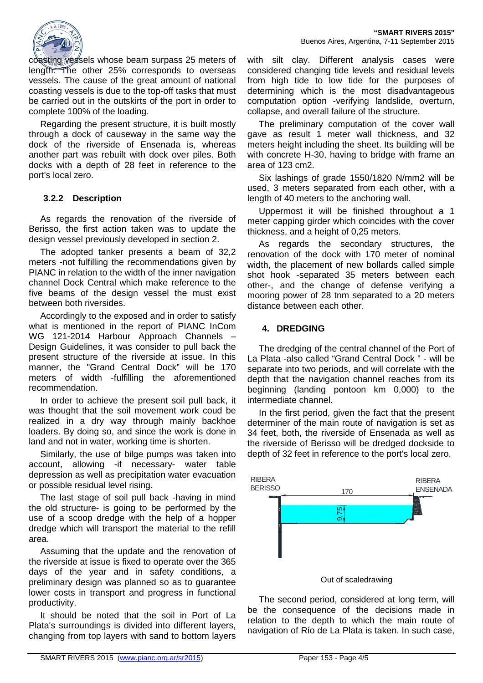

coasting vessels whose beam surpass 25 meters of length. The other 25% corresponds to overseas vessels. The cause of the great amount of national coasting vessels is due to the top-off tasks that must be carried out in the outskirts of the port in order to complete 100% of the loading.

Regarding the present structure, it is built mostly through a dock of causeway in the same way the dock of the riverside of Ensenada is, whereas another part was rebuilt with dock over piles. Both docks with a depth of 28 feet in reference to the port's local zero.

### **3.2.2 Description**

As regards the renovation of the riverside of Berisso, the first action taken was to update the design vessel previously developed in section 2.

The adopted tanker presents a beam of 32,2 meters -not fulfilling the recommendations given by PIANC in relation to the width of the inner navigation channel Dock Central which make reference to the five beams of the design vessel the must exist between both riversides.

Accordingly to the exposed and in order to satisfy what is mentioned in the report of PIANC InCom WG 121-2014 Harbour Approach Channels – Design Guidelines, it was consider to pull back the present structure of the riverside at issue. In this manner, the "Grand Central Dock" will be 170 meters of width -fulfilling the aforementioned recommendation.

In order to achieve the present soil pull back, it was thought that the soil movement work coud be realized in a dry way through mainly backhoe loaders. By doing so, and since the work is done in land and not in water, working time is shorten.

Similarly, the use of bilge pumps was taken into account, allowing -if necessary- water table depression as well as precipitation water evacuation or possible residual level rising.

The last stage of soil pull back -having in mind the old structure- is going to be performed by the use of a scoop dredge with the help of a hopper dredge which will transport the material to the refill area.

Assuming that the update and the renovation of the riverside at issue is fixed to operate over the 365 days of the year and in safety conditions, a preliminary design was planned so as to guarantee lower costs in transport and progress in functional productivity.

It should be noted that the soil in Port of La Plata's surroundings is divided into different layers, changing from top layers with sand to bottom layers

with silt clay. Different analysis cases were considered changing tide levels and residual levels from high tide to low tide for the purposes of determining which is the most disadvantageous computation option -verifying landslide, overturn, collapse, and overall failure of the structure.

The preliminary computation of the cover wall gave as result 1 meter wall thickness, and 32 meters height including the sheet. Its building will be with concrete H-30, having to bridge with frame an area of 123 cm2.

Six lashings of grade 1550/1820 N/mm2 will be used, 3 meters separated from each other, with a length of 40 meters to the anchoring wall.

Uppermost it will be finished throughout a 1 meter capping girder which coincides with the cover thickness, and a height of 0,25 meters.

As regards the secondary structures, the renovation of the dock with 170 meter of nominal width, the placement of new bollards called simple shot hook -separated 35 meters between each other-, and the change of defense verifying a mooring power of 28 tnm separated to a 20 meters distance between each other.

#### **4. DREDGING**

The dredging of the central channel of the Port of La Plata -also called "Grand Central Dock " - will be separate into two periods, and will correlate with the depth that the navigation channel reaches from its beginning (landing pontoon km 0,000) to the intermediate channel.

In the first period, given the fact that the present determiner of the main route of navigation is set as 34 feet, both, the riverside of Ensenada as well as the riverside of Berisso will be dredged dockside to depth of 32 feet in reference to the port's local zero.



Out of scaledrawing

The second period, considered at long term, will be the consequence of the decisions made in relation to the depth to which the main route of navigation of Río de La Plata is taken. In such case,